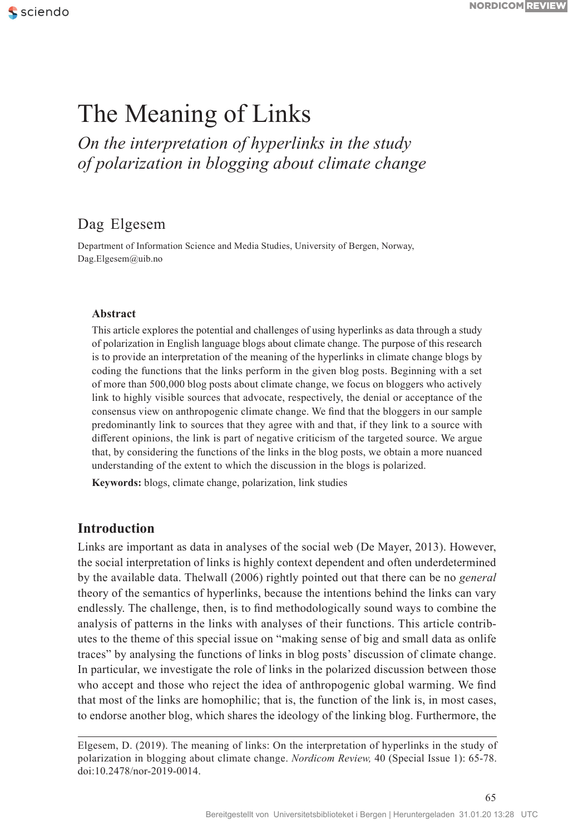# The Meaning of Links

*On the interpretation of hyperlinks in the study of polarization in blogging about climate change*

# Dag Elgesem

Department of Information Science and Media Studies, University of Bergen, Norway, Dag.Elgesem@uib.no

#### **Abstract**

This article explores the potential and challenges of using hyperlinks as data through a study of polarization in English language blogs about climate change. The purpose of this research is to provide an interpretation of the meaning of the hyperlinks in climate change blogs by coding the functions that the links perform in the given blog posts. Beginning with a set of more than 500,000 blog posts about climate change, we focus on bloggers who actively link to highly visible sources that advocate, respectively, the denial or acceptance of the consensus view on anthropogenic climate change. We find that the bloggers in our sample predominantly link to sources that they agree with and that, if they link to a source with different opinions, the link is part of negative criticism of the targeted source. We argue that, by considering the functions of the links in the blog posts, we obtain a more nuanced understanding of the extent to which the discussion in the blogs is polarized.

**Keywords:** blogs, climate change, polarization, link studies

#### **Introduction**

Links are important as data in analyses of the social web (De Mayer, 2013). However, the social interpretation of links is highly context dependent and often underdetermined by the available data. Thelwall (2006) rightly pointed out that there can be no *general*  theory of the semantics of hyperlinks, because the intentions behind the links can vary endlessly. The challenge, then, is to find methodologically sound ways to combine the analysis of patterns in the links with analyses of their functions. This article contributes to the theme of this special issue on "making sense of big and small data as onlife traces" by analysing the functions of links in blog posts' discussion of climate change. In particular, we investigate the role of links in the polarized discussion between those who accept and those who reject the idea of anthropogenic global warming. We find that most of the links are homophilic; that is, the function of the link is, in most cases, to endorse another blog, which shares the ideology of the linking blog. Furthermore, the

Elgesem, D. (2019). The meaning of links: On the interpretation of hyperlinks in the study of polarization in blogging about climate change. *Nordicom Review,* 40 (Special Issue 1): 65-78. doi:10.2478/nor-2019-0014.

65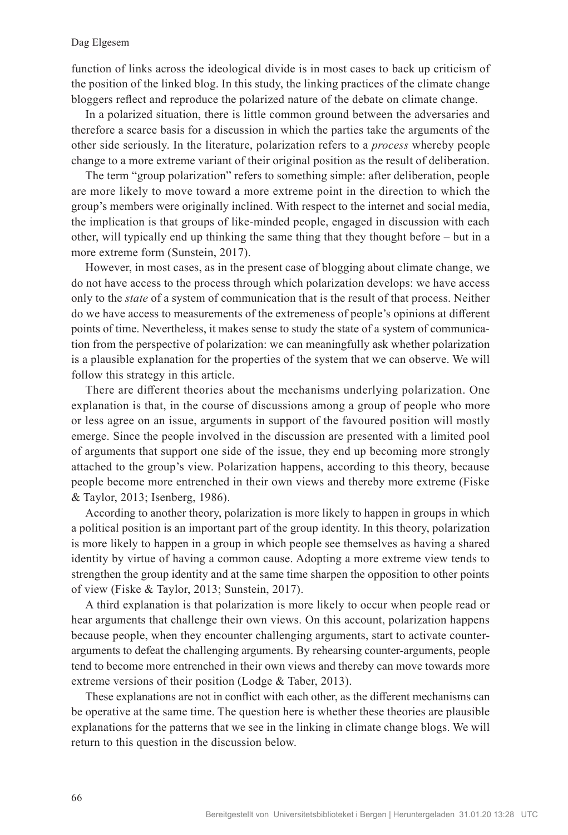function of links across the ideological divide is in most cases to back up criticism of the position of the linked blog. In this study, the linking practices of the climate change bloggers reflect and reproduce the polarized nature of the debate on climate change.

In a polarized situation, there is little common ground between the adversaries and therefore a scarce basis for a discussion in which the parties take the arguments of the other side seriously. In the literature, polarization refers to a *process* whereby people change to a more extreme variant of their original position as the result of deliberation.

The term "group polarization" refers to something simple: after deliberation, people are more likely to move toward a more extreme point in the direction to which the group's members were originally inclined. With respect to the internet and social media, the implication is that groups of like-minded people, engaged in discussion with each other, will typically end up thinking the same thing that they thought before – but in a more extreme form (Sunstein, 2017).

However, in most cases, as in the present case of blogging about climate change, we do not have access to the process through which polarization develops: we have access only to the *state* of a system of communication that is the result of that process. Neither do we have access to measurements of the extremeness of people's opinions at different points of time. Nevertheless, it makes sense to study the state of a system of communication from the perspective of polarization: we can meaningfully ask whether polarization is a plausible explanation for the properties of the system that we can observe. We will follow this strategy in this article.

There are different theories about the mechanisms underlying polarization. One explanation is that, in the course of discussions among a group of people who more or less agree on an issue, arguments in support of the favoured position will mostly emerge. Since the people involved in the discussion are presented with a limited pool of arguments that support one side of the issue, they end up becoming more strongly attached to the group's view. Polarization happens, according to this theory, because people become more entrenched in their own views and thereby more extreme (Fiske & Taylor, 2013; Isenberg, 1986).

According to another theory, polarization is more likely to happen in groups in which a political position is an important part of the group identity. In this theory, polarization is more likely to happen in a group in which people see themselves as having a shared identity by virtue of having a common cause. Adopting a more extreme view tends to strengthen the group identity and at the same time sharpen the opposition to other points of view (Fiske & Taylor, 2013; Sunstein, 2017).

A third explanation is that polarization is more likely to occur when people read or hear arguments that challenge their own views. On this account, polarization happens because people, when they encounter challenging arguments, start to activate counterarguments to defeat the challenging arguments. By rehearsing counter-arguments, people tend to become more entrenched in their own views and thereby can move towards more extreme versions of their position (Lodge & Taber, 2013).

These explanations are not in conflict with each other, as the different mechanisms can be operative at the same time. The question here is whether these theories are plausible explanations for the patterns that we see in the linking in climate change blogs. We will return to this question in the discussion below.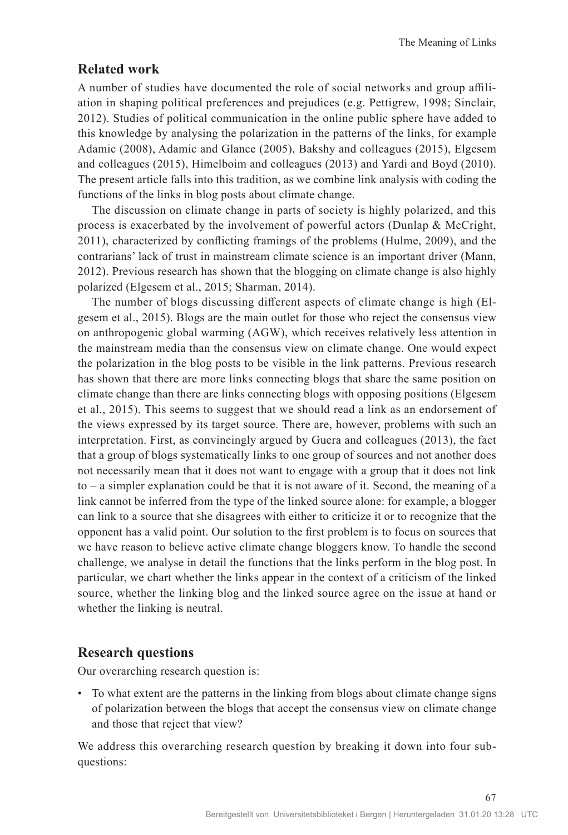## **Related work**

A number of studies have documented the role of social networks and group affiliation in shaping political preferences and prejudices (e.g. Pettigrew, 1998; Sinclair, 2012). Studies of political communication in the online public sphere have added to this knowledge by analysing the polarization in the patterns of the links, for example Adamic (2008), Adamic and Glance (2005), Bakshy and colleagues (2015), Elgesem and colleagues (2015), Himelboim and colleagues (2013) and Yardi and Boyd (2010). The present article falls into this tradition, as we combine link analysis with coding the functions of the links in blog posts about climate change.

The discussion on climate change in parts of society is highly polarized, and this process is exacerbated by the involvement of powerful actors (Dunlap & McCright, 2011), characterized by conflicting framings of the problems (Hulme, 2009), and the contrarians' lack of trust in mainstream climate science is an important driver (Mann, 2012). Previous research has shown that the blogging on climate change is also highly polarized (Elgesem et al., 2015; Sharman, 2014).

The number of blogs discussing different aspects of climate change is high (Elgesem et al., 2015). Blogs are the main outlet for those who reject the consensus view on anthropogenic global warming (AGW), which receives relatively less attention in the mainstream media than the consensus view on climate change. One would expect the polarization in the blog posts to be visible in the link patterns. Previous research has shown that there are more links connecting blogs that share the same position on climate change than there are links connecting blogs with opposing positions (Elgesem et al., 2015). This seems to suggest that we should read a link as an endorsement of the views expressed by its target source. There are, however, problems with such an interpretation. First, as convincingly argued by Guera and colleagues (2013), the fact that a group of blogs systematically links to one group of sources and not another does not necessarily mean that it does not want to engage with a group that it does not link to – a simpler explanation could be that it is not aware of it. Second, the meaning of a link cannot be inferred from the type of the linked source alone: for example, a blogger can link to a source that she disagrees with either to criticize it or to recognize that the opponent has a valid point. Our solution to the first problem is to focus on sources that we have reason to believe active climate change bloggers know. To handle the second challenge, we analyse in detail the functions that the links perform in the blog post. In particular, we chart whether the links appear in the context of a criticism of the linked source, whether the linking blog and the linked source agree on the issue at hand or whether the linking is neutral.

#### **Research questions**

Our overarching research question is:

• To what extent are the patterns in the linking from blogs about climate change signs of polarization between the blogs that accept the consensus view on climate change and those that reject that view?

We address this overarching research question by breaking it down into four subquestions: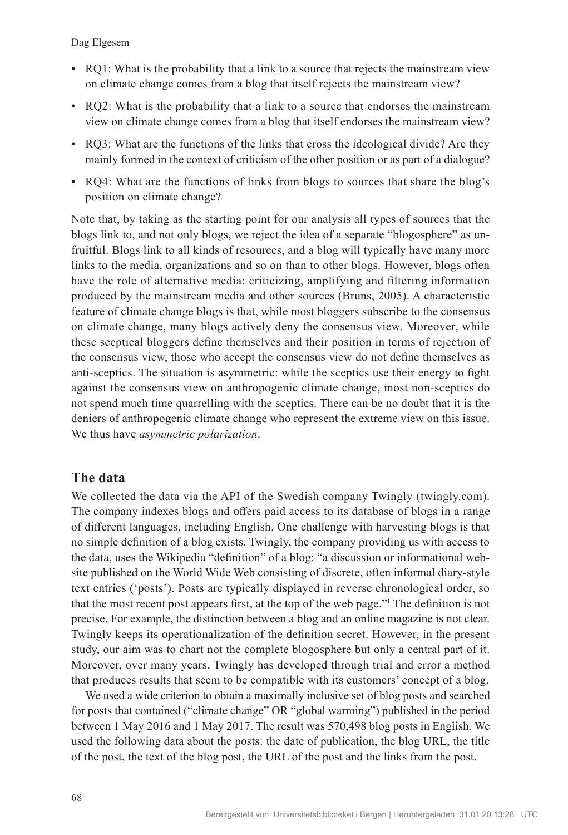- RQ1: What is the probability that a link to a source that rejects the mainstream view on climate change comes from a blog that itself rejects the mainstream view?
- RQ2: What is the probability that a link to a source that endorses the mainstream view on climate change comes from a blog that itself endorses the mainstream view?
- RQ3: What are the functions of the links that cross the ideological divide? Are they mainly formed in the context of criticism of the other position or as part of a dialogue?
- RQ4: What are the functions of links from blogs to sources that share the blog's position on climate change?

Note that, by taking as the starting point for our analysis all types of sources that the blogs link to, and not only blogs, we reject the idea of a separate "blogosphere" as unfruitful. Blogs link to all kinds of resources, and a blog will typically have many more links to the media, organizations and so on than to other blogs. However, blogs often have the role of alternative media: criticizing, amplifying and filtering information produced by the mainstream media and other sources (Bruns, 2005). A characteristic feature of climate change blogs is that, while most bloggers subscribe to the consensus on climate change, many blogs actively deny the consensus view. Moreover, while these sceptical bloggers define themselves and their position in terms of rejection of the consensus view, those who accept the consensus view do not define themselves as anti-sceptics. The situation is asymmetric: while the sceptics use their energy to fight against the consensus view on anthropogenic climate change, most non-sceptics do not spend much time quarrelling with the sceptics. There can be no doubt that it is the deniers of anthropogenic climate change who represent the extreme view on this issue. We thus have *asymmetric polarization*.

## **The data**

We collected the data via the API of the Swedish company Twingly (twingly.com). The company indexes blogs and offers paid access to its database of blogs in a range of different languages, including English. One challenge with harvesting blogs is that no simple definition of a blog exists. Twingly, the company providing us with access to the data, uses the Wikipedia "definition" of a blog: "a discussion or informational website published on the World Wide Web consisting of discrete, often informal diary-style text entries ('posts'). Posts are typically displayed in reverse chronological order, so that the most recent post appears first, at the top of the web page."<sup>1</sup> The definition is not precise. For example, the distinction between a blog and an online magazine is not clear. Twingly keeps its operationalization of the definition secret. However, in the present study, our aim was to chart not the complete blogosphere but only a central part of it. Moreover, over many years, Twingly has developed through trial and error a method that produces results that seem to be compatible with its customers' concept of a blog.

We used a wide criterion to obtain a maximally inclusive set of blog posts and searched for posts that contained ("climate change" OR "global warming") published in the period between 1 May 2016 and 1 May 2017. The result was 570,498 blog posts in English. We used the following data about the posts: the date of publication, the blog URL, the title of the post, the text of the blog post, the URL of the post and the links from the post.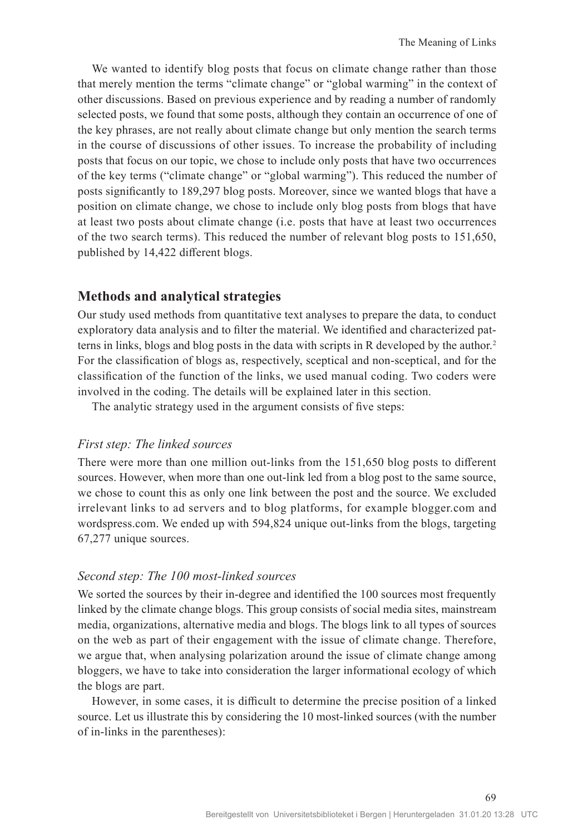We wanted to identify blog posts that focus on climate change rather than those that merely mention the terms "climate change" or "global warming" in the context of other discussions. Based on previous experience and by reading a number of randomly selected posts, we found that some posts, although they contain an occurrence of one of the key phrases, are not really about climate change but only mention the search terms in the course of discussions of other issues. To increase the probability of including posts that focus on our topic, we chose to include only posts that have two occurrences of the key terms ("climate change" or "global warming"). This reduced the number of posts significantly to 189,297 blog posts. Moreover, since we wanted blogs that have a position on climate change, we chose to include only blog posts from blogs that have at least two posts about climate change (i.e. posts that have at least two occurrences of the two search terms). This reduced the number of relevant blog posts to 151,650, published by 14,422 different blogs.

## **Methods and analytical strategies**

Our study used methods from quantitative text analyses to prepare the data, to conduct exploratory data analysis and to filter the material. We identified and characterized patterns in links, blogs and blog posts in the data with scripts in R developed by the author.<sup>2</sup> For the classification of blogs as, respectively, sceptical and non-sceptical, and for the classification of the function of the links, we used manual coding. Two coders were involved in the coding. The details will be explained later in this section.

The analytic strategy used in the argument consists of five steps:

#### *First step: The linked sources*

There were more than one million out-links from the 151,650 blog posts to different sources. However, when more than one out-link led from a blog post to the same source, we chose to count this as only one link between the post and the source. We excluded irrelevant links to ad servers and to blog platforms, for example blogger.com and wordspress.com. We ended up with 594,824 unique out-links from the blogs, targeting 67,277 unique sources.

#### *Second step: The 100 most-linked sources*

We sorted the sources by their in-degree and identified the 100 sources most frequently linked by the climate change blogs. This group consists of social media sites, mainstream media, organizations, alternative media and blogs. The blogs link to all types of sources on the web as part of their engagement with the issue of climate change. Therefore, we argue that, when analysing polarization around the issue of climate change among bloggers, we have to take into consideration the larger informational ecology of which the blogs are part.

However, in some cases, it is difficult to determine the precise position of a linked source. Let us illustrate this by considering the 10 most-linked sources (with the number of in-links in the parentheses):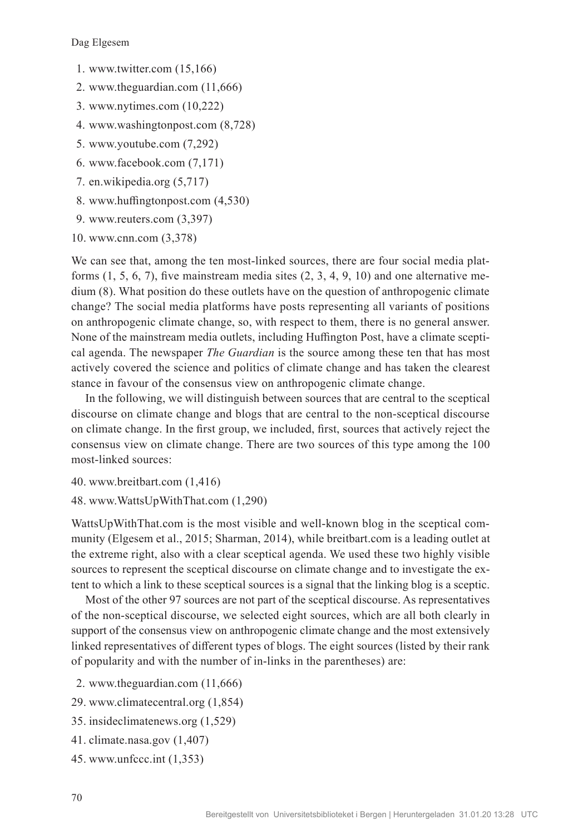- 1. www.twitter.com (15,166)
- 2. www.theguardian.com (11,666)
- 3. www.nytimes.com (10,222)
- 4. www.washingtonpost.com (8,728)
- 5. www.youtube.com (7,292)
- 6. www.facebook.com (7,171)
- 7. en.wikipedia.org (5,717)
- 8. www.huffingtonpost.com (4,530)
- 9. www.reuters.com (3,397)
- 10. www.cnn.com (3,378)

We can see that, among the ten most-linked sources, there are four social media platforms  $(1, 5, 6, 7)$ , five mainstream media sites  $(2, 3, 4, 9, 10)$  and one alternative medium (8). What position do these outlets have on the question of anthropogenic climate change? The social media platforms have posts representing all variants of positions on anthropogenic climate change, so, with respect to them, there is no general answer. None of the mainstream media outlets, including Huffington Post, have a climate sceptical agenda. The newspaper *The Guardian* is the source among these ten that has most actively covered the science and politics of climate change and has taken the clearest stance in favour of the consensus view on anthropogenic climate change.

In the following, we will distinguish between sources that are central to the sceptical discourse on climate change and blogs that are central to the non-sceptical discourse on climate change. In the first group, we included, first, sources that actively reject the consensus view on climate change. There are two sources of this type among the 100 most-linked sources:

- 40. www.breitbart.com (1,416)
- 48. www.WattsUpWithThat.com (1,290)

WattsUpWithThat.com is the most visible and well-known blog in the sceptical community (Elgesem et al., 2015; Sharman, 2014), while breitbart.com is a leading outlet at the extreme right, also with a clear sceptical agenda. We used these two highly visible sources to represent the sceptical discourse on climate change and to investigate the extent to which a link to these sceptical sources is a signal that the linking blog is a sceptic.

Most of the other 97 sources are not part of the sceptical discourse. As representatives of the non-sceptical discourse, we selected eight sources, which are all both clearly in support of the consensus view on anthropogenic climate change and the most extensively linked representatives of different types of blogs. The eight sources (listed by their rank of popularity and with the number of in-links in the parentheses) are:

- 2. www.theguardian.com (11,666)
- 29. www.climatecentral.org (1,854)
- 35. insideclimatenews.org (1,529)
- 41. climate.nasa.gov (1,407)
- 45. www.unfccc.int (1,353)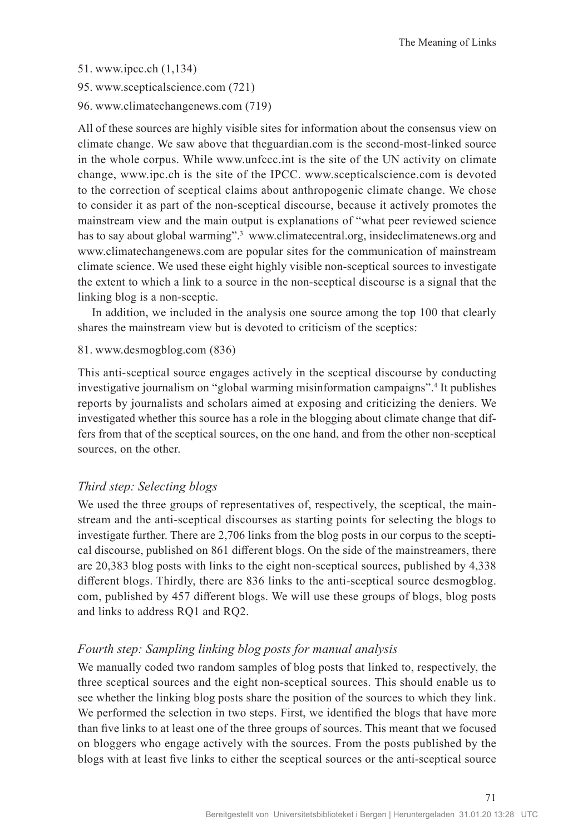51. www.ipcc.ch (1,134)

95. www.scepticalscience.com (721)

96. www.climatechangenews.com (719)

All of these sources are highly visible sites for information about the consensus view on climate change. We saw above that theguardian.com is the second-most-linked source in the whole corpus. While www.unfccc.int is the site of the UN activity on climate change, www.ipc.ch is the site of the IPCC. www.scepticalscience.com is devoted to the correction of sceptical claims about anthropogenic climate change. We chose to consider it as part of the non-sceptical discourse, because it actively promotes the mainstream view and the main output is explanations of "what peer reviewed science has to say about global warming".<sup>3</sup> www.climatecentral.org, insideclimatenews.org and www.climatechangenews.com are popular sites for the communication of mainstream climate science. We used these eight highly visible non-sceptical sources to investigate the extent to which a link to a source in the non-sceptical discourse is a signal that the linking blog is a non-sceptic.

In addition, we included in the analysis one source among the top 100 that clearly shares the mainstream view but is devoted to criticism of the sceptics:

#### 81. www.desmogblog.com (836)

This anti-sceptical source engages actively in the sceptical discourse by conducting investigative journalism on "global warming misinformation campaigns".4 It publishes reports by journalists and scholars aimed at exposing and criticizing the deniers. We investigated whether this source has a role in the blogging about climate change that differs from that of the sceptical sources, on the one hand, and from the other non-sceptical sources, on the other.

#### *Third step: Selecting blogs*

We used the three groups of representatives of, respectively, the sceptical, the mainstream and the anti-sceptical discourses as starting points for selecting the blogs to investigate further. There are 2,706 links from the blog posts in our corpus to the sceptical discourse, published on 861 different blogs. On the side of the mainstreamers, there are 20,383 blog posts with links to the eight non-sceptical sources, published by 4,338 different blogs. Thirdly, there are 836 links to the anti-sceptical source desmogblog. com, published by 457 different blogs. We will use these groups of blogs, blog posts and links to address RQ1 and RQ2.

#### *Fourth step: Sampling linking blog posts for manual analysis*

We manually coded two random samples of blog posts that linked to, respectively, the three sceptical sources and the eight non-sceptical sources. This should enable us to see whether the linking blog posts share the position of the sources to which they link. We performed the selection in two steps. First, we identified the blogs that have more than five links to at least one of the three groups of sources. This meant that we focused on bloggers who engage actively with the sources. From the posts published by the blogs with at least five links to either the sceptical sources or the anti-sceptical source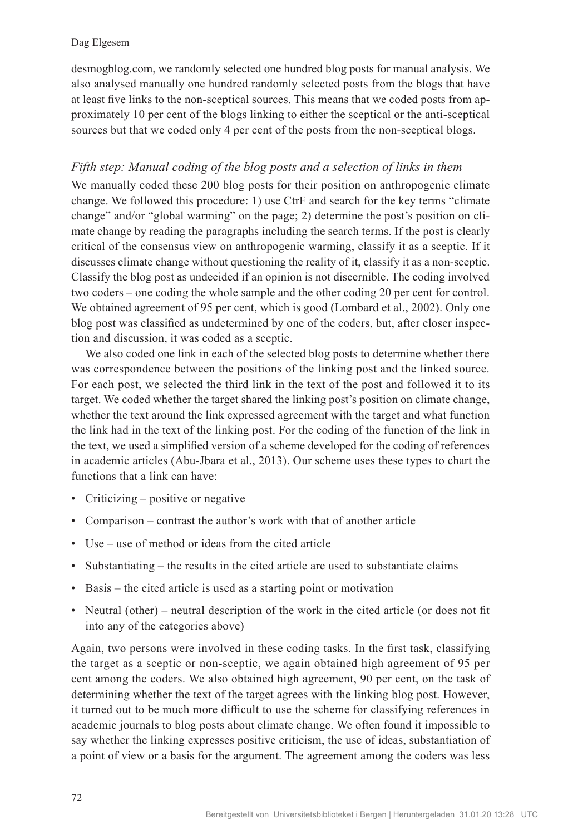desmogblog.com, we randomly selected one hundred blog posts for manual analysis. We also analysed manually one hundred randomly selected posts from the blogs that have at least five links to the non-sceptical sources. This means that we coded posts from approximately 10 per cent of the blogs linking to either the sceptical or the anti-sceptical sources but that we coded only 4 per cent of the posts from the non-sceptical blogs.

## *Fifth step: Manual coding of the blog posts and a selection of links in them*

We manually coded these 200 blog posts for their position on anthropogenic climate change. We followed this procedure: 1) use CtrF and search for the key terms "climate change" and/or "global warming" on the page; 2) determine the post's position on climate change by reading the paragraphs including the search terms. If the post is clearly critical of the consensus view on anthropogenic warming, classify it as a sceptic. If it discusses climate change without questioning the reality of it, classify it as a non-sceptic. Classify the blog post as undecided if an opinion is not discernible. The coding involved two coders – one coding the whole sample and the other coding 20 per cent for control. We obtained agreement of 95 per cent, which is good (Lombard et al., 2002). Only one blog post was classified as undetermined by one of the coders, but, after closer inspection and discussion, it was coded as a sceptic.

We also coded one link in each of the selected blog posts to determine whether there was correspondence between the positions of the linking post and the linked source. For each post, we selected the third link in the text of the post and followed it to its target. We coded whether the target shared the linking post's position on climate change, whether the text around the link expressed agreement with the target and what function the link had in the text of the linking post. For the coding of the function of the link in the text, we used a simplified version of a scheme developed for the coding of references in academic articles (Abu-Jbara et al., 2013). Our scheme uses these types to chart the functions that a link can have:

- Criticizing positive or negative
- Comparison contrast the author's work with that of another article
- Use use of method or ideas from the cited article
- Substantiating the results in the cited article are used to substantiate claims
- Basis the cited article is used as a starting point or motivation
- Neutral (other) neutral description of the work in the cited article (or does not fit into any of the categories above)

Again, two persons were involved in these coding tasks. In the first task, classifying the target as a sceptic or non-sceptic, we again obtained high agreement of 95 per cent among the coders. We also obtained high agreement, 90 per cent, on the task of determining whether the text of the target agrees with the linking blog post. However, it turned out to be much more difficult to use the scheme for classifying references in academic journals to blog posts about climate change. We often found it impossible to say whether the linking expresses positive criticism, the use of ideas, substantiation of a point of view or a basis for the argument. The agreement among the coders was less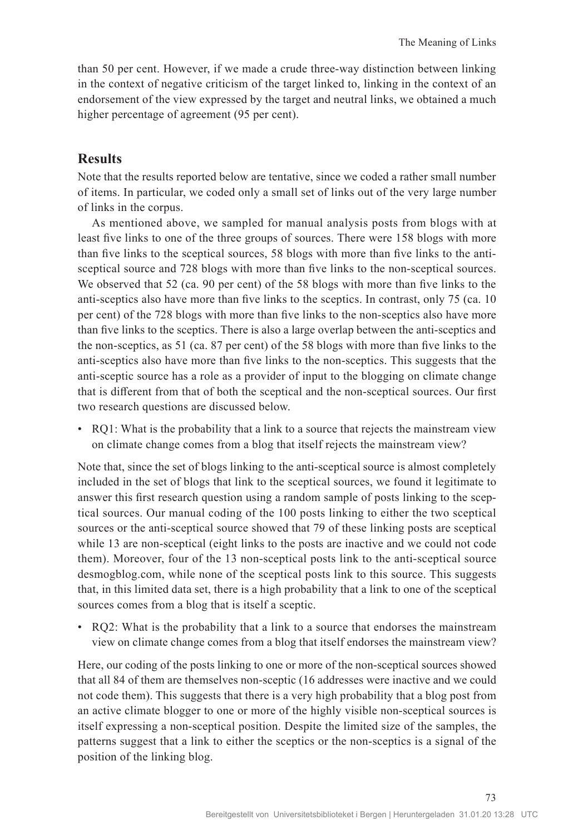than 50 per cent. However, if we made a crude three-way distinction between linking in the context of negative criticism of the target linked to, linking in the context of an endorsement of the view expressed by the target and neutral links, we obtained a much higher percentage of agreement (95 per cent).

## **Results**

Note that the results reported below are tentative, since we coded a rather small number of items. In particular, we coded only a small set of links out of the very large number of links in the corpus.

As mentioned above, we sampled for manual analysis posts from blogs with at least five links to one of the three groups of sources. There were 158 blogs with more than five links to the sceptical sources, 58 blogs with more than five links to the antisceptical source and 728 blogs with more than five links to the non-sceptical sources. We observed that 52 (ca. 90 per cent) of the 58 blogs with more than five links to the anti-sceptics also have more than five links to the sceptics. In contrast, only 75 (ca. 10 per cent) of the 728 blogs with more than five links to the non-sceptics also have more than five links to the sceptics. There is also a large overlap between the anti-sceptics and the non-sceptics, as 51 (ca. 87 per cent) of the 58 blogs with more than five links to the anti-sceptics also have more than five links to the non-sceptics. This suggests that the anti-sceptic source has a role as a provider of input to the blogging on climate change that is different from that of both the sceptical and the non-sceptical sources. Our first two research questions are discussed below.

• RQ1: What is the probability that a link to a source that rejects the mainstream view on climate change comes from a blog that itself rejects the mainstream view?

Note that, since the set of blogs linking to the anti-sceptical source is almost completely included in the set of blogs that link to the sceptical sources, we found it legitimate to answer this first research question using a random sample of posts linking to the sceptical sources. Our manual coding of the 100 posts linking to either the two sceptical sources or the anti-sceptical source showed that 79 of these linking posts are sceptical while 13 are non-sceptical (eight links to the posts are inactive and we could not code them). Moreover, four of the 13 non-sceptical posts link to the anti-sceptical source desmogblog.com, while none of the sceptical posts link to this source. This suggests that, in this limited data set, there is a high probability that a link to one of the sceptical sources comes from a blog that is itself a sceptic.

• RQ2: What is the probability that a link to a source that endorses the mainstream view on climate change comes from a blog that itself endorses the mainstream view?

Here, our coding of the posts linking to one or more of the non-sceptical sources showed that all 84 of them are themselves non-sceptic (16 addresses were inactive and we could not code them). This suggests that there is a very high probability that a blog post from an active climate blogger to one or more of the highly visible non-sceptical sources is itself expressing a non-sceptical position. Despite the limited size of the samples, the patterns suggest that a link to either the sceptics or the non-sceptics is a signal of the position of the linking blog.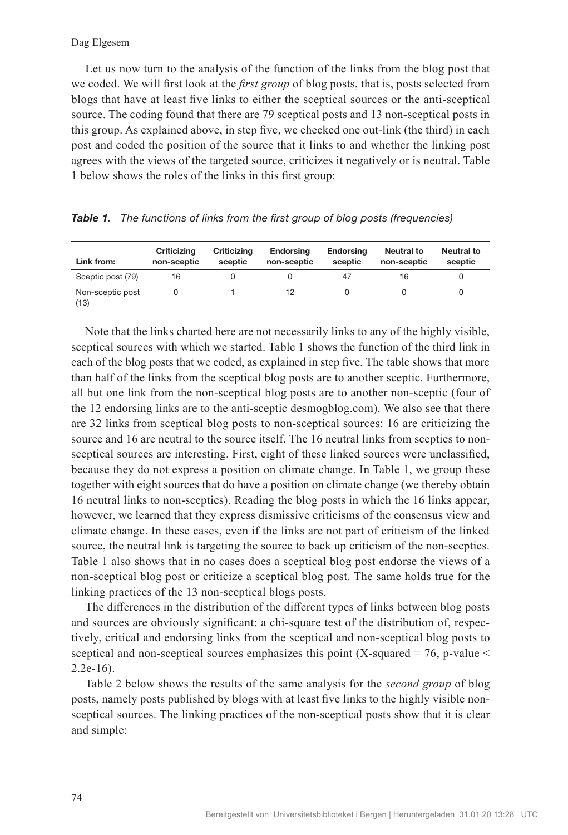Let us now turn to the analysis of the function of the links from the blog post that we coded. We will first look at the *first group* of blog posts, that is, posts selected from blogs that have at least five links to either the sceptical sources or the anti-sceptical source. The coding found that there are 79 sceptical posts and 13 non-sceptical posts in this group. As explained above, in step five, we checked one out-link (the third) in each post and coded the position of the source that it links to and whether the linking post agrees with the views of the targeted source, criticizes it negatively or is neutral. Table 1 below shows the roles of the links in this first group:

| Link from:               | Criticizing<br>non-sceptic | Criticizing<br>sceptic | <b>Endorsing</b><br>non-sceptic | <b>Endorsing</b><br>sceptic | <b>Neutral to</b><br>non-sceptic | <b>Neutral to</b><br>sceptic |
|--------------------------|----------------------------|------------------------|---------------------------------|-----------------------------|----------------------------------|------------------------------|
| Sceptic post (79)        | 16                         |                        |                                 | 47                          | 16                               |                              |
| Non-sceptic post<br>(13) |                            |                        | 12                              |                             |                                  |                              |

*Table 1. The functions of links from the first group of blog posts (frequencies)*

Note that the links charted here are not necessarily links to any of the highly visible, sceptical sources with which we started. Table 1 shows the function of the third link in each of the blog posts that we coded, as explained in step five. The table shows that more than half of the links from the sceptical blog posts are to another sceptic. Furthermore, all but one link from the non-sceptical blog posts are to another non-sceptic (four of the 12 endorsing links are to the anti-sceptic desmogblog.com). We also see that there are 32 links from sceptical blog posts to non-sceptical sources: 16 are criticizing the source and 16 are neutral to the source itself. The 16 neutral links from sceptics to nonsceptical sources are interesting. First, eight of these linked sources were unclassified, because they do not express a position on climate change. In Table 1, we group these together with eight sources that do have a position on climate change (we thereby obtain 16 neutral links to non-sceptics). Reading the blog posts in which the 16 links appear, however, we learned that they express dismissive criticisms of the consensus view and climate change. In these cases, even if the links are not part of criticism of the linked source, the neutral link is targeting the source to back up criticism of the non-sceptics. Table 1 also shows that in no cases does a sceptical blog post endorse the views of a non-sceptical blog post or criticize a sceptical blog post. The same holds true for the linking practices of the 13 non-sceptical blogs posts.

The differences in the distribution of the different types of links between blog posts and sources are obviously significant: a chi-square test of the distribution of, respectively, critical and endorsing links from the sceptical and non-sceptical blog posts to sceptical and non-sceptical sources emphasizes this point (X-squared = 76, p-value  $\le$ 2.2e-16).

Table 2 below shows the results of the same analysis for the *second group* of blog posts, namely posts published by blogs with at least five links to the highly visible nonsceptical sources. The linking practices of the non-sceptical posts show that it is clear and simple: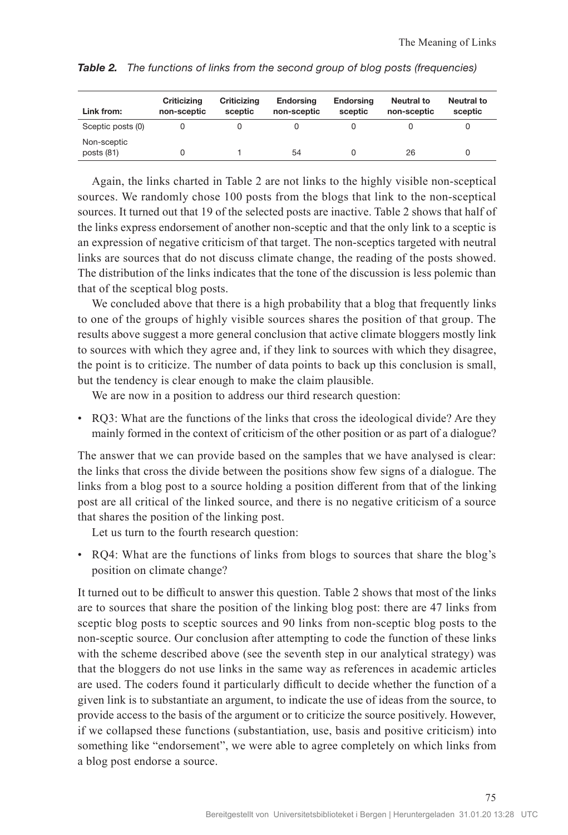| Link from:                  | Criticizing<br>non-sceptic | Criticizina<br>sceptic | <b>Endorsing</b><br>non-sceptic | <b>Endorsing</b><br>sceptic | Neutral to<br>non-sceptic | Neutral to<br>sceptic |
|-----------------------------|----------------------------|------------------------|---------------------------------|-----------------------------|---------------------------|-----------------------|
| Sceptic posts (0)           |                            |                        |                                 |                             |                           |                       |
| Non-sceptic<br>posts $(81)$ |                            |                        | 54                              |                             | 26                        |                       |

*Table 2. The functions of links from the second group of blog posts (frequencies)*

Again, the links charted in Table 2 are not links to the highly visible non-sceptical sources. We randomly chose 100 posts from the blogs that link to the non-sceptical sources. It turned out that 19 of the selected posts are inactive. Table 2 shows that half of the links express endorsement of another non-sceptic and that the only link to a sceptic is an expression of negative criticism of that target. The non-sceptics targeted with neutral links are sources that do not discuss climate change, the reading of the posts showed. The distribution of the links indicates that the tone of the discussion is less polemic than that of the sceptical blog posts.

We concluded above that there is a high probability that a blog that frequently links to one of the groups of highly visible sources shares the position of that group. The results above suggest a more general conclusion that active climate bloggers mostly link to sources with which they agree and, if they link to sources with which they disagree, the point is to criticize. The number of data points to back up this conclusion is small, but the tendency is clear enough to make the claim plausible.

We are now in a position to address our third research question:

• RQ3: What are the functions of the links that cross the ideological divide? Are they mainly formed in the context of criticism of the other position or as part of a dialogue?

The answer that we can provide based on the samples that we have analysed is clear: the links that cross the divide between the positions show few signs of a dialogue. The links from a blog post to a source holding a position different from that of the linking post are all critical of the linked source, and there is no negative criticism of a source that shares the position of the linking post.

Let us turn to the fourth research question:

• RQ4: What are the functions of links from blogs to sources that share the blog's position on climate change?

It turned out to be difficult to answer this question. Table 2 shows that most of the links are to sources that share the position of the linking blog post: there are 47 links from sceptic blog posts to sceptic sources and 90 links from non-sceptic blog posts to the non-sceptic source. Our conclusion after attempting to code the function of these links with the scheme described above (see the seventh step in our analytical strategy) was that the bloggers do not use links in the same way as references in academic articles are used. The coders found it particularly difficult to decide whether the function of a given link is to substantiate an argument, to indicate the use of ideas from the source, to provide access to the basis of the argument or to criticize the source positively. However, if we collapsed these functions (substantiation, use, basis and positive criticism) into something like "endorsement", we were able to agree completely on which links from a blog post endorse a source.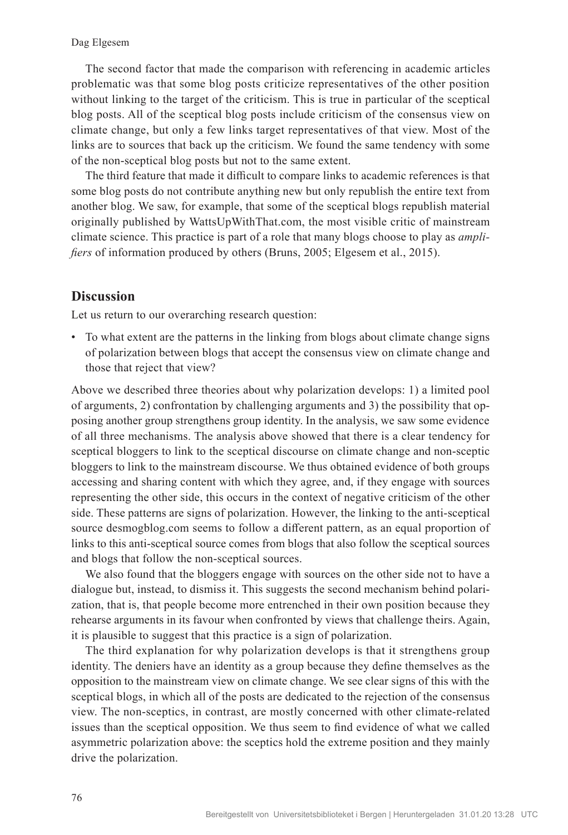The second factor that made the comparison with referencing in academic articles problematic was that some blog posts criticize representatives of the other position without linking to the target of the criticism. This is true in particular of the sceptical blog posts. All of the sceptical blog posts include criticism of the consensus view on climate change, but only a few links target representatives of that view. Most of the links are to sources that back up the criticism. We found the same tendency with some of the non-sceptical blog posts but not to the same extent.

The third feature that made it difficult to compare links to academic references is that some blog posts do not contribute anything new but only republish the entire text from another blog. We saw, for example, that some of the sceptical blogs republish material originally published by WattsUpWithThat.com, the most visible critic of mainstream climate science. This practice is part of a role that many blogs choose to play as *amplifiers* of information produced by others (Bruns, 2005; Elgesem et al., 2015).

## **Discussion**

Let us return to our overarching research question:

• To what extent are the patterns in the linking from blogs about climate change signs of polarization between blogs that accept the consensus view on climate change and those that reject that view?

Above we described three theories about why polarization develops: 1) a limited pool of arguments, 2) confrontation by challenging arguments and 3) the possibility that opposing another group strengthens group identity. In the analysis, we saw some evidence of all three mechanisms. The analysis above showed that there is a clear tendency for sceptical bloggers to link to the sceptical discourse on climate change and non-sceptic bloggers to link to the mainstream discourse. We thus obtained evidence of both groups accessing and sharing content with which they agree, and, if they engage with sources representing the other side, this occurs in the context of negative criticism of the other side. These patterns are signs of polarization. However, the linking to the anti-sceptical source desmogblog.com seems to follow a different pattern, as an equal proportion of links to this anti-sceptical source comes from blogs that also follow the sceptical sources and blogs that follow the non-sceptical sources.

We also found that the bloggers engage with sources on the other side not to have a dialogue but, instead, to dismiss it. This suggests the second mechanism behind polarization, that is, that people become more entrenched in their own position because they rehearse arguments in its favour when confronted by views that challenge theirs. Again, it is plausible to suggest that this practice is a sign of polarization.

The third explanation for why polarization develops is that it strengthens group identity. The deniers have an identity as a group because they define themselves as the opposition to the mainstream view on climate change. We see clear signs of this with the sceptical blogs, in which all of the posts are dedicated to the rejection of the consensus view. The non-sceptics, in contrast, are mostly concerned with other climate-related issues than the sceptical opposition. We thus seem to find evidence of what we called asymmetric polarization above: the sceptics hold the extreme position and they mainly drive the polarization.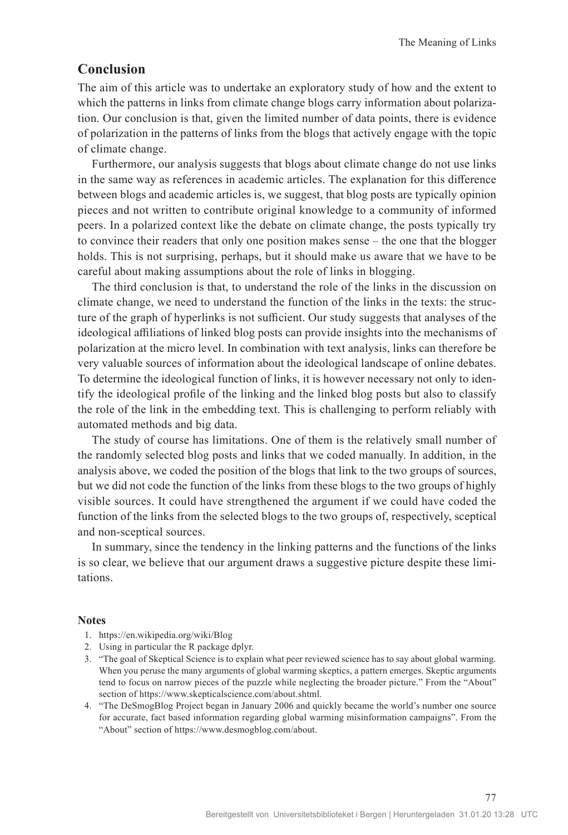## **Conclusion**

The aim of this article was to undertake an exploratory study of how and the extent to which the patterns in links from climate change blogs carry information about polarization. Our conclusion is that, given the limited number of data points, there is evidence of polarization in the patterns of links from the blogs that actively engage with the topic of climate change.

Furthermore, our analysis suggests that blogs about climate change do not use links in the same way as references in academic articles. The explanation for this difference between blogs and academic articles is, we suggest, that blog posts are typically opinion pieces and not written to contribute original knowledge to a community of informed peers. In a polarized context like the debate on climate change, the posts typically try to convince their readers that only one position makes sense – the one that the blogger holds. This is not surprising, perhaps, but it should make us aware that we have to be careful about making assumptions about the role of links in blogging.

The third conclusion is that, to understand the role of the links in the discussion on climate change, we need to understand the function of the links in the texts: the structure of the graph of hyperlinks is not sufficient. Our study suggests that analyses of the ideological affiliations of linked blog posts can provide insights into the mechanisms of polarization at the micro level. In combination with text analysis, links can therefore be very valuable sources of information about the ideological landscape of online debates. To determine the ideological function of links, it is however necessary not only to identify the ideological profile of the linking and the linked blog posts but also to classify the role of the link in the embedding text. This is challenging to perform reliably with automated methods and big data.

The study of course has limitations. One of them is the relatively small number of the randomly selected blog posts and links that we coded manually. In addition, in the analysis above, we coded the position of the blogs that link to the two groups of sources, but we did not code the function of the links from these blogs to the two groups of highly visible sources. It could have strengthened the argument if we could have coded the function of the links from the selected blogs to the two groups of, respectively, sceptical and non-sceptical sources.

In summary, since the tendency in the linking patterns and the functions of the links is so clear, we believe that our argument draws a suggestive picture despite these limitations.

#### **Notes**

- 1. https://en.wikipedia.org/wiki/Blog
- 2. Using in particular the R package dplyr.
- 3. "The goal of Skeptical Science is to explain what peer reviewed science has to say about global warming. When you peruse the many arguments of global warming skeptics, a pattern emerges. Skeptic arguments tend to focus on narrow pieces of the puzzle while neglecting the broader picture." From the "About" section of https://www.skepticalscience.com/about.shtml.
- 4. "The DeSmogBlog Project began in January 2006 and quickly became the world's number one source for accurate, fact based information regarding global warming misinformation campaigns". From the "About" section of https://www.desmogblog.com/about.